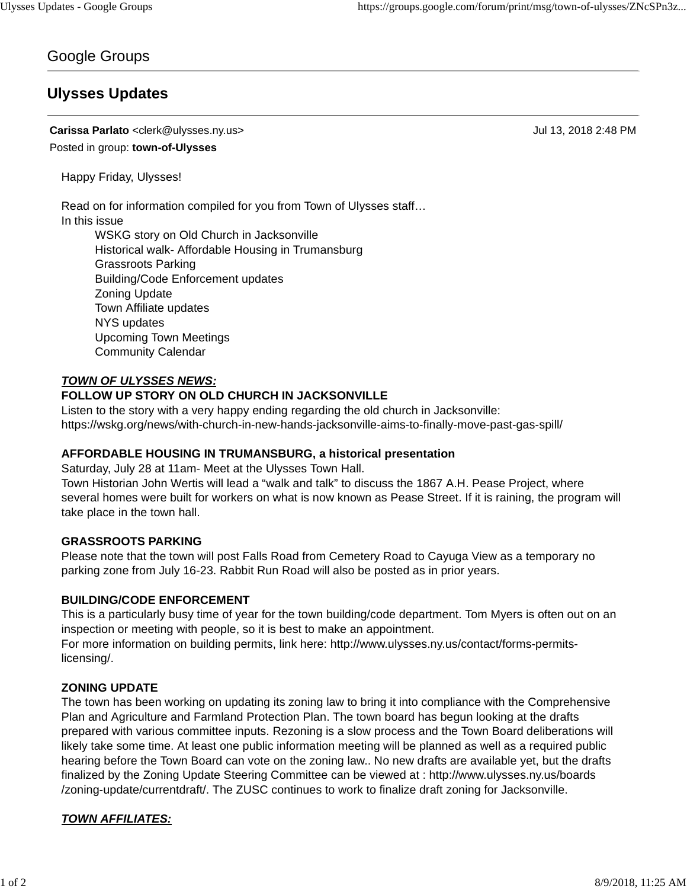# Google Groups

# **Ulysses Updates**

## **Carissa Parlato** <clerk@ulysses.ny.us> Jul 13, 2018 2:48 PM Posted in group: **town-of-Ulysses**

Happy Friday, Ulysses!

Read on for information compiled for you from Town of Ulysses staff…

## In this issue

WSKG story on Old Church in Jacksonville Historical walk- Affordable Housing in Trumansburg Grassroots Parking Building/Code Enforcement updates Zoning Update Town Affiliate updates NYS updates Upcoming Town Meetings Community Calendar

#### *TOWN OF ULYSSES NEWS:*

#### **FOLLOW UP STORY ON OLD CHURCH IN JACKSONVILLE**

Listen to the story with a very happy ending regarding the old church in Jacksonville: https://wskg.org/news/with-church-in-new-hands-jacksonville-aims-to-finally-move-past-gas-spill/

## **AFFORDABLE HOUSING IN TRUMANSBURG, a historical presentation**

Saturday, July 28 at 11am- Meet at the Ulysses Town Hall.

Town Historian John Wertis will lead a "walk and talk" to discuss the 1867 A.H. Pease Project, where several homes were built for workers on what is now known as Pease Street. If it is raining, the program will take place in the town hall.

#### **GRASSROOTS PARKING**

Please note that the town will post Falls Road from Cemetery Road to Cayuga View as a temporary no parking zone from July 16-23. Rabbit Run Road will also be posted as in prior years.

#### **BUILDING/CODE ENFORCEMENT**

This is a particularly busy time of year for the town building/code department. Tom Myers is often out on an inspection or meeting with people, so it is best to make an appointment. For more information on building permits, link here: http://www.ulysses.ny.us/contact/forms-permitslicensing/.

## **ZONING UPDATE**

The town has been working on updating its zoning law to bring it into compliance with the Comprehensive Plan and Agriculture and Farmland Protection Plan. The town board has begun looking at the drafts prepared with various committee inputs. Rezoning is a slow process and the Town Board deliberations will likely take some time. At least one public information meeting will be planned as well as a required public hearing before the Town Board can vote on the zoning law.. No new drafts are available yet, but the drafts finalized by the Zoning Update Steering Committee can be viewed at : http://www.ulysses.ny.us/boards /zoning-update/currentdraft/. The ZUSC continues to work to finalize draft zoning for Jacksonville.

# *TOWN AFFILIATES:*